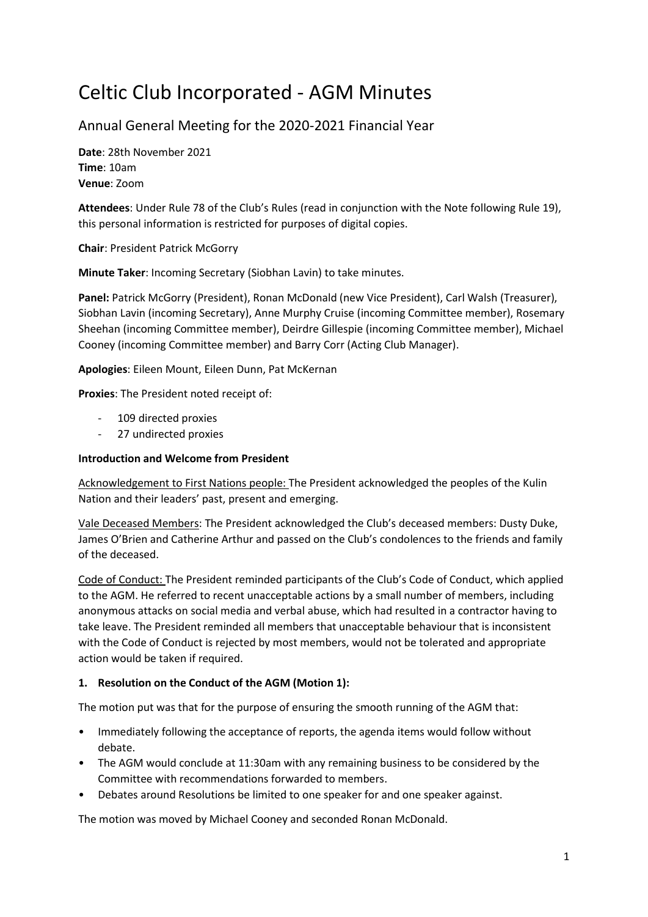# Celtic Club Incorporated - AGM Minutes

# Annual General Meeting for the 2020-2021 Financial Year

Date: 28th November 2021 Time: 10am Venue: Zoom

Attendees: Under Rule 78 of the Club's Rules (read in conjunction with the Note following Rule 19), this personal information is restricted for purposes of digital copies.

Chair: President Patrick McGorry

Minute Taker: Incoming Secretary (Siobhan Lavin) to take minutes.

Panel: Patrick McGorry (President), Ronan McDonald (new Vice President), Carl Walsh (Treasurer), Siobhan Lavin (incoming Secretary), Anne Murphy Cruise (incoming Committee member), Rosemary Sheehan (incoming Committee member), Deirdre Gillespie (incoming Committee member), Michael Cooney (incoming Committee member) and Barry Corr (Acting Club Manager).

Apologies: Eileen Mount, Eileen Dunn, Pat McKernan

Proxies: The President noted receipt of:

- 109 directed proxies
- 27 undirected proxies

#### Introduction and Welcome from President

Acknowledgement to First Nations people: The President acknowledged the peoples of the Kulin Nation and their leaders' past, present and emerging.

Vale Deceased Members: The President acknowledged the Club's deceased members: Dusty Duke, James O'Brien and Catherine Arthur and passed on the Club's condolences to the friends and family of the deceased.

Code of Conduct: The President reminded participants of the Club's Code of Conduct, which applied to the AGM. He referred to recent unacceptable actions by a small number of members, including anonymous attacks on social media and verbal abuse, which had resulted in a contractor having to take leave. The President reminded all members that unacceptable behaviour that is inconsistent with the Code of Conduct is rejected by most members, would not be tolerated and appropriate action would be taken if required.

# 1. Resolution on the Conduct of the AGM (Motion 1):

The motion put was that for the purpose of ensuring the smooth running of the AGM that:

- Immediately following the acceptance of reports, the agenda items would follow without debate.
- The AGM would conclude at 11:30am with any remaining business to be considered by the Committee with recommendations forwarded to members.
- Debates around Resolutions be limited to one speaker for and one speaker against.

The motion was moved by Michael Cooney and seconded Ronan McDonald.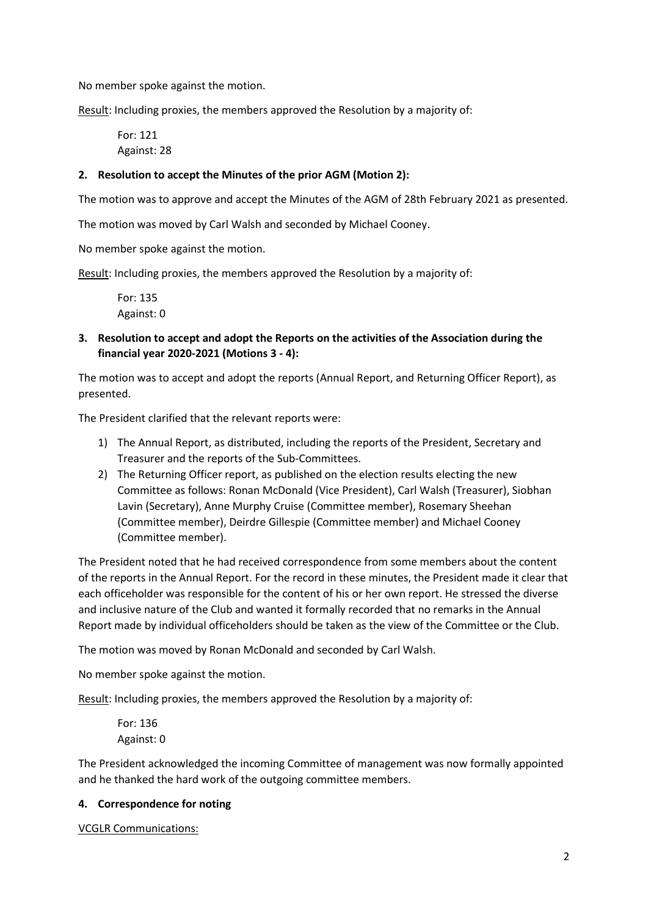No member spoke against the motion.

Result: Including proxies, the members approved the Resolution by a majority of:

For: 121 Against: 28

### 2. Resolution to accept the Minutes of the prior AGM (Motion 2):

The motion was to approve and accept the Minutes of the AGM of 28th February 2021 as presented.

The motion was moved by Carl Walsh and seconded by Michael Cooney.

No member spoke against the motion.

Result: Including proxies, the members approved the Resolution by a majority of:

For: 135 Against: 0

3. Resolution to accept and adopt the Reports on the activities of the Association during the financial year 2020-2021 (Motions 3 - 4):

The motion was to accept and adopt the reports (Annual Report, and Returning Officer Report), as presented.

The President clarified that the relevant reports were:

- 1) The Annual Report, as distributed, including the reports of the President, Secretary and Treasurer and the reports of the Sub-Committees.
- 2) The Returning Officer report, as published on the election results electing the new Committee as follows: Ronan McDonald (Vice President), Carl Walsh (Treasurer), Siobhan Lavin (Secretary), Anne Murphy Cruise (Committee member), Rosemary Sheehan (Committee member), Deirdre Gillespie (Committee member) and Michael Cooney (Committee member).

The President noted that he had received correspondence from some members about the content of the reports in the Annual Report. For the record in these minutes, the President made it clear that each officeholder was responsible for the content of his or her own report. He stressed the diverse and inclusive nature of the Club and wanted it formally recorded that no remarks in the Annual Report made by individual officeholders should be taken as the view of the Committee or the Club.

The motion was moved by Ronan McDonald and seconded by Carl Walsh.

No member spoke against the motion.

Result: Including proxies, the members approved the Resolution by a majority of:

For: 136 Against: 0

The President acknowledged the incoming Committee of management was now formally appointed and he thanked the hard work of the outgoing committee members.

#### 4. Correspondence for noting

VCGLR Communications: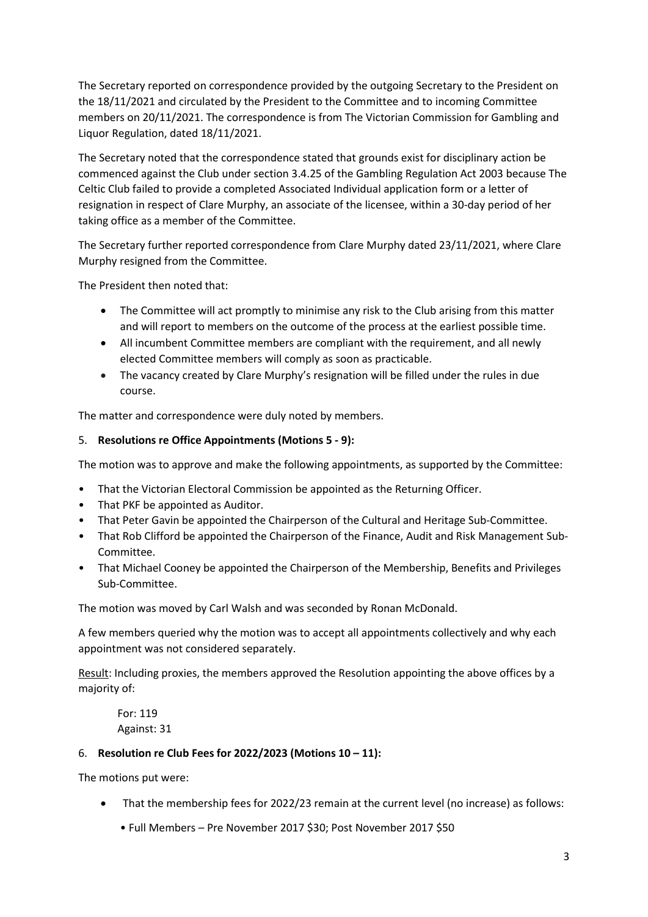The Secretary reported on correspondence provided by the outgoing Secretary to the President on the 18/11/2021 and circulated by the President to the Committee and to incoming Committee members on 20/11/2021. The correspondence is from The Victorian Commission for Gambling and Liquor Regulation, dated 18/11/2021.

The Secretary noted that the correspondence stated that grounds exist for disciplinary action be commenced against the Club under section 3.4.25 of the Gambling Regulation Act 2003 because The Celtic Club failed to provide a completed Associated Individual application form or a letter of resignation in respect of Clare Murphy, an associate of the licensee, within a 30-day period of her taking office as a member of the Committee.

The Secretary further reported correspondence from Clare Murphy dated 23/11/2021, where Clare Murphy resigned from the Committee.

The President then noted that:

- The Committee will act promptly to minimise any risk to the Club arising from this matter and will report to members on the outcome of the process at the earliest possible time.
- All incumbent Committee members are compliant with the requirement, and all newly elected Committee members will comply as soon as practicable.
- The vacancy created by Clare Murphy's resignation will be filled under the rules in due course.

The matter and correspondence were duly noted by members.

#### 5. Resolutions re Office Appointments (Motions 5 - 9):

The motion was to approve and make the following appointments, as supported by the Committee:

- That the Victorian Electoral Commission be appointed as the Returning Officer.
- That PKF be appointed as Auditor.
- That Peter Gavin be appointed the Chairperson of the Cultural and Heritage Sub-Committee.
- That Rob Clifford be appointed the Chairperson of the Finance, Audit and Risk Management Sub-Committee.
- That Michael Cooney be appointed the Chairperson of the Membership, Benefits and Privileges Sub-Committee.

The motion was moved by Carl Walsh and was seconded by Ronan McDonald.

A few members queried why the motion was to accept all appointments collectively and why each appointment was not considered separately.

Result: Including proxies, the members approved the Resolution appointing the above offices by a majority of:

For: 119 Against: 31

#### 6. Resolution re Club Fees for 2022/2023 (Motions  $10 - 11$ ):

The motions put were:

- That the membership fees for 2022/23 remain at the current level (no increase) as follows:
	- Full Members Pre November 2017 \$30; Post November 2017 \$50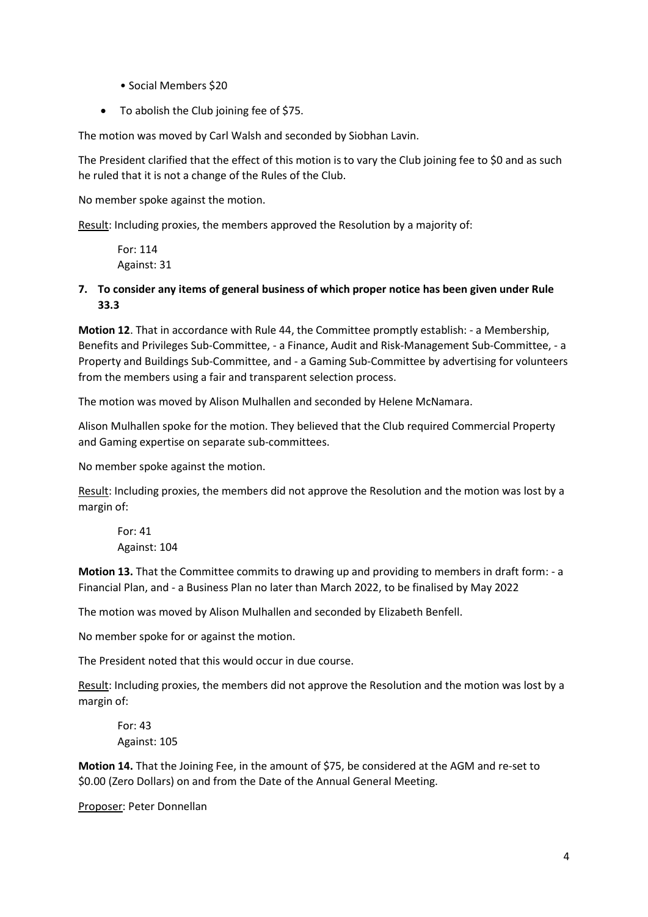- Social Members \$20
- To abolish the Club joining fee of \$75.

The motion was moved by Carl Walsh and seconded by Siobhan Lavin.

The President clarified that the effect of this motion is to vary the Club joining fee to \$0 and as such he ruled that it is not a change of the Rules of the Club.

No member spoke against the motion.

Result: Including proxies, the members approved the Resolution by a majority of:

For: 114 Against: 31

7. To consider any items of general business of which proper notice has been given under Rule 33.3

Motion 12. That in accordance with Rule 44, the Committee promptly establish: - a Membership, Benefits and Privileges Sub-Committee, - a Finance, Audit and Risk-Management Sub-Committee, - a Property and Buildings Sub-Committee, and - a Gaming Sub-Committee by advertising for volunteers from the members using a fair and transparent selection process.

The motion was moved by Alison Mulhallen and seconded by Helene McNamara.

Alison Mulhallen spoke for the motion. They believed that the Club required Commercial Property and Gaming expertise on separate sub-committees.

No member spoke against the motion.

Result: Including proxies, the members did not approve the Resolution and the motion was lost by a margin of:

For: 41 Against: 104

Motion 13. That the Committee commits to drawing up and providing to members in draft form: - a Financial Plan, and - a Business Plan no later than March 2022, to be finalised by May 2022

The motion was moved by Alison Mulhallen and seconded by Elizabeth Benfell.

No member spoke for or against the motion.

The President noted that this would occur in due course.

Result: Including proxies, the members did not approve the Resolution and the motion was lost by a margin of:

For: 43 Against: 105

Motion 14. That the Joining Fee, in the amount of \$75, be considered at the AGM and re-set to \$0.00 (Zero Dollars) on and from the Date of the Annual General Meeting.

Proposer: Peter Donnellan